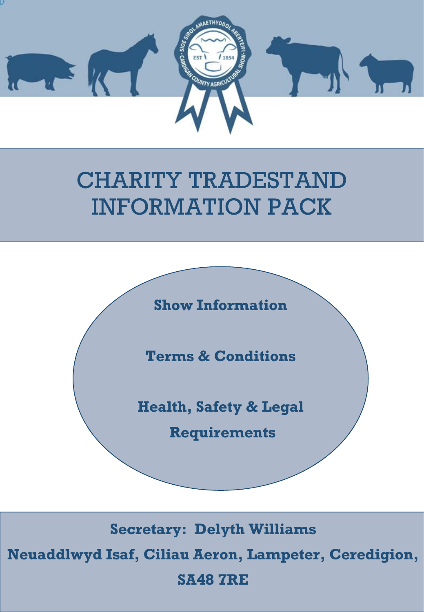

# CHARITY TRADESTAND INFORMATION PACK



**Secretary: Delyth Williams**

**Neuaddlwyd Isaf, Ciliau Aeron, Lampeter, Ceredigion,** 

**SA48 7RE**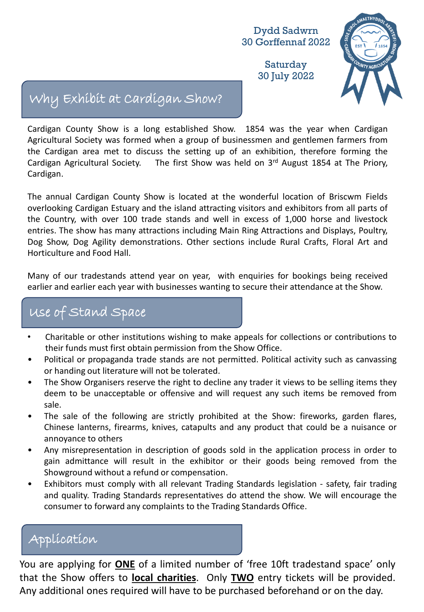Saturday 30 July 2022



## Why Exhibit at Cardigan Show?

Cardigan County Show is a long established Show. 1854 was the year when Cardigan Agricultural Society was formed when a group of businessmen and gentlemen farmers from the Cardigan area met to discuss the setting up of an exhibition, therefore forming the Cardigan Agricultural Society. The first Show was held on 3<sup>rd</sup> August 1854 at The Priory, Cardigan.

The annual Cardigan County Show is located at the wonderful location of Briscwm Fields overlooking Cardigan Estuary and the island attracting visitors and exhibitors from all parts of the Country, with over 100 trade stands and well in excess of 1,000 horse and livestock entries. The show has many attractions including Main Ring Attractions and Displays, Poultry, Dog Show, Dog Agility demonstrations. Other sections include Rural Crafts, Floral Art and Horticulture and Food Hall.

Many of our tradestands attend year on year, with enquiries for bookings being received earlier and earlier each year with businesses wanting to secure their attendance at the Show.

## Use of Stand Space

- Charitable or other institutions wishing to make appeals for collections or contributions to their funds must first obtain permission from the Show Office.
- Political or propaganda trade stands are not permitted. Political activity such as canvassing or handing out literature will not be tolerated.
- The Show Organisers reserve the right to decline any trader it views to be selling items they deem to be unacceptable or offensive and will request any such items be removed from sale.
- The sale of the following are strictly prohibited at the Show: fireworks, garden flares, Chinese lanterns, firearms, knives, catapults and any product that could be a nuisance or annoyance to others
- Any misrepresentation in description of goods sold in the application process in order to gain admittance will result in the exhibitor or their goods being removed from the Showground without a refund or compensation.
- Exhibitors must comply with all relevant Trading Standards legislation safety, fair trading and quality. Trading Standards representatives do attend the show. We will encourage the consumer to forward any complaints to the Trading Standards Office.

## Application

You are applying for **ONE** of a limited number of 'free 10ft tradestand space' only that the Show offers to **local charities**. Only **TWO** entry tickets will be provided. Any additional ones required will have to be purchased beforehand or on the day.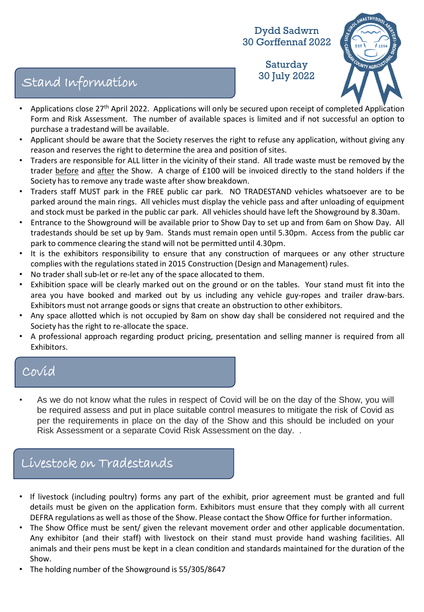Saturday 30 July 2022 Stand Information



- Applications close 27<sup>th</sup> April 2022. Applications will only be secured upon receipt of completed Application Form and Risk Assessment. The number of available spaces is limited and if not successful an option to purchase a tradestand will be available.
- Applicant should be aware that the Society reserves the right to refuse any application, without giving any reason and reserves the right to determine the area and position of sites.
- Traders are responsible for ALL litter in the vicinity of their stand. All trade waste must be removed by the trader before and after the Show. A charge of £100 will be invoiced directly to the stand holders if the Society has to remove any trade waste after show breakdown.
- Traders staff MUST park in the FREE public car park. NO TRADESTAND vehicles whatsoever are to be parked around the main rings. All vehicles must display the vehicle pass and after unloading of equipment and stock must be parked in the public car park. All vehicles should have left the Showground by 8.30am.
- Entrance to the Showground will be available prior to Show Day to set up and from 6am on Show Day. All tradestands should be set up by 9am. Stands must remain open until 5.30pm. Access from the public car park to commence clearing the stand will not be permitted until 4.30pm.
- It is the exhibitors responsibility to ensure that any construction of marquees or any other structure complies with the regulations stated in 2015 Construction (Design and Management) rules.
- No trader shall sub-let or re-let any of the space allocated to them.
- Exhibition space will be clearly marked out on the ground or on the tables. Your stand must fit into the area you have booked and marked out by us including any vehicle guy-ropes and trailer draw-bars. Exhibitors must not arrange goods or signs that create an obstruction to other exhibitors.
- Any space allotted which is not occupied by 8am on show day shall be considered not required and the Society has the right to re-allocate the space.
- A professional approach regarding product pricing, presentation and selling manner is required from all Exhibitors.

## Covid

• As we do not know what the rules in respect of Covid will be on the day of the Show, you will be required assess and put in place suitable control measures to mitigate the risk of Covid as per the requirements in place on the day of the Show and this should be included on your Risk Assessment or a separate Covid Risk Assessment on the day. .

## Livestock on Tradestands

- If livestock (including poultry) forms any part of the exhibit, prior agreement must be granted and full details must be given on the application form. Exhibitors must ensure that they comply with all current DEFRA regulations as well as those of the Show. Please contact the Show Office for further information.
- The Show Office must be sent/ given the relevant movement order and other applicable documentation. Any exhibitor (and their staff) with livestock on their stand must provide hand washing facilities. All animals and their pens must be kept in a clean condition and standards maintained for the duration of the Show.
- The holding number of the Showground is 55/305/8647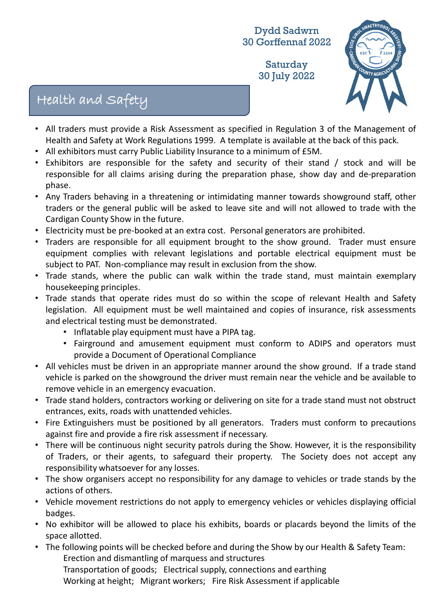Saturday 30 July 2022



## Health and Safety

- All traders must provide a Risk Assessment as specified in Regulation 3 of the Management of Health and Safety at Work Regulations 1999. A template is available at the back of this pack.
- All exhibitors must carry Public Liability Insurance to a minimum of £5M.
- Exhibitors are responsible for the safety and security of their stand / stock and will be responsible for all claims arising during the preparation phase, show day and de-preparation phase.
- Any Traders behaving in a threatening or intimidating manner towards showground staff, other traders or the general public will be asked to leave site and will not allowed to trade with the Cardigan County Show in the future.
- Electricity must be pre-booked at an extra cost. Personal generators are prohibited.
- Traders are responsible for all equipment brought to the show ground. Trader must ensure equipment complies with relevant legislations and portable electrical equipment must be subject to PAT. Non-compliance may result in exclusion from the show.
- Trade stands, where the public can walk within the trade stand, must maintain exemplary housekeeping principles.
- Trade stands that operate rides must do so within the scope of relevant Health and Safety legislation. All equipment must be well maintained and copies of insurance, risk assessments and electrical testing must be demonstrated.
	- Inflatable play equipment must have a PIPA tag.
	- Fairground and amusement equipment must conform to ADIPS and operators must provide a Document of Operational Compliance
- All vehicles must be driven in an appropriate manner around the show ground. If a trade stand vehicle is parked on the showground the driver must remain near the vehicle and be available to remove vehicle in an emergency evacuation.
- Trade stand holders, contractors working or delivering on site for a trade stand must not obstruct entrances, exits, roads with unattended vehicles.
- Fire Extinguishers must be positioned by all generators. Traders must conform to precautions against fire and provide a fire risk assessment if necessary.
- There will be continuous night security patrols during the Show. However, it is the responsibility of Traders, or their agents, to safeguard their property. The Society does not accept any responsibility whatsoever for any losses.
- The show organisers accept no responsibility for any damage to vehicles or trade stands by the actions of others.
- Vehicle movement restrictions do not apply to emergency vehicles or vehicles displaying official badges.
- No exhibitor will be allowed to place his exhibits, boards or placards beyond the limits of the space allotted.
- The following points will be checked before and during the Show by our Health & Safety Team: Erection and dismantling of marquess and structures Transportation of goods; Electrical supply, connections and earthing Working at height; Migrant workers; Fire Risk Assessment if applicable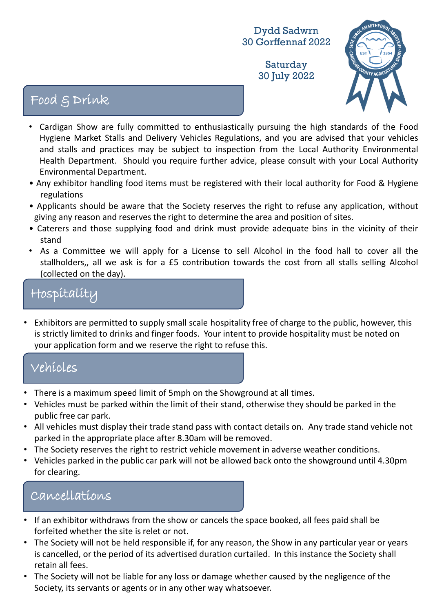Saturday 30 July 2022



## Food & Drink

- Cardigan Show are fully committed to enthusiastically pursuing the high standards of the Food Hygiene Market Stalls and Delivery Vehicles Regulations, and you are advised that your vehicles and stalls and practices may be subject to inspection from the Local Authority Environmental Health Department. Should you require further advice, please consult with your Local Authority Environmental Department.
- Any exhibitor handling food items must be registered with their local authority for Food & Hygiene regulations
- Applicants should be aware that the Society reserves the right to refuse any application, without giving any reason and reserves the right to determine the area and position of sites.
- Caterers and those supplying food and drink must provide adequate bins in the vicinity of their stand
- As a Committee we will apply for a License to sell Alcohol in the food hall to cover all the stallholders,, all we ask is for a £5 contribution towards the cost from all stalls selling Alcohol (collected on the day).

## Hospitality

• Exhibitors are permitted to supply small scale hospitality free of charge to the public, however, this is strictly limited to drinks and finger foods. Your intent to provide hospitality must be noted on your application form and we reserve the right to refuse this.

## Vehicles

- There is a maximum speed limit of 5mph on the Showground at all times.
- Vehicles must be parked within the limit of their stand, otherwise they should be parked in the public free car park.
- All vehicles must display their trade stand pass with contact details on. Any trade stand vehicle not parked in the appropriate place after 8.30am will be removed.
- The Society reserves the right to restrict vehicle movement in adverse weather conditions.
- Vehicles parked in the public car park will not be allowed back onto the showground until 4.30pm for clearing.

### Cancellations

- If an exhibitor withdraws from the show or cancels the space booked, all fees paid shall be forfeited whether the site is relet or not.
- The Society will not be held responsible if, for any reason, the Show in any particular year or years is cancelled, or the period of its advertised duration curtailed. In this instance the Society shall retain all fees.
- The Society will not be liable for any loss or damage whether caused by the negligence of the Society, its servants or agents or in any other way whatsoever.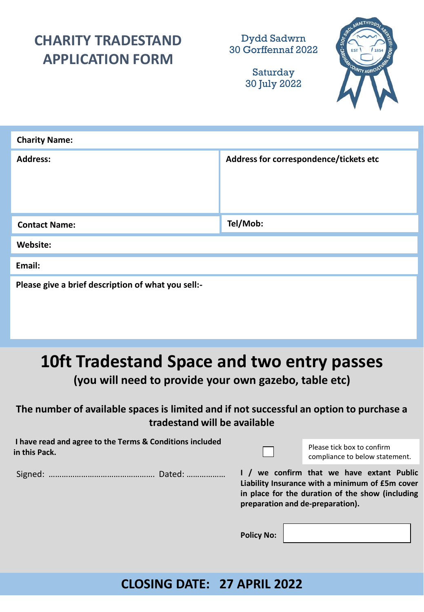## **CHARITY TRADESTAND APPLICATION FORM**

Dydd Sadwrn 30 Gorffennaf 2022

> Saturday 30 July 2022



| <b>Charity Name:</b>                               |                                        |  |  |  |
|----------------------------------------------------|----------------------------------------|--|--|--|
| <b>Address:</b>                                    | Address for correspondence/tickets etc |  |  |  |
| <b>Contact Name:</b>                               | Tel/Mob:                               |  |  |  |
| Website:                                           |                                        |  |  |  |
| Email:                                             |                                        |  |  |  |
| Please give a brief description of what you sell:- |                                        |  |  |  |

## **10ft Tradestand Space and two entry passes**

**(you will need to provide your own gazebo, table etc)**

#### **The number of available spaces is limited and if not successful an option to purchase a tradestand will be available**

| I have read and agree to the Terms & Conditions included |  |
|----------------------------------------------------------|--|
| in this Pack.                                            |  |

Please tick box to confirm compliance to below statement.

Signed: …………………………………………. Dated: ………………

**I / we confirm that we have extant Public Liability Insurance with a minimum of £5m cover in place for the duration of the show (including preparation and de-preparation).**

**Policy No:**

### **CLOSING DATE: 27 APRIL 2022**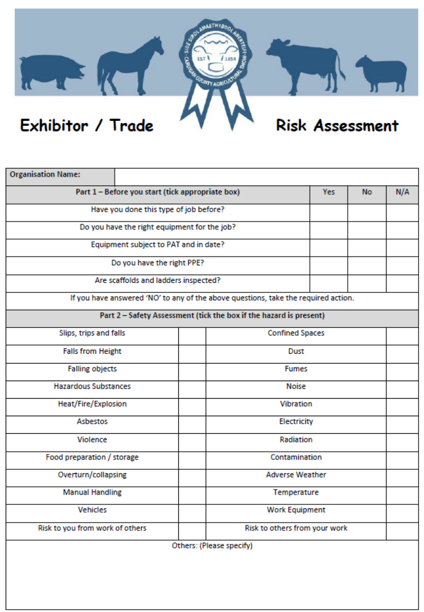

| <b>Organisation Name:</b>                        |                                                                                    |                        |           |     |
|--------------------------------------------------|------------------------------------------------------------------------------------|------------------------|-----------|-----|
| Part 1 - Before you start (tick appropriate box) |                                                                                    | Yes:                   | <b>No</b> | N/A |
| Have you done this type of job before?           |                                                                                    |                        |           |     |
| Do you have the right equipment for the job?     |                                                                                    |                        |           |     |
| Equipment subject to PAT and in date?            |                                                                                    |                        |           |     |
| Do you have the right PPE?                       |                                                                                    |                        |           |     |
| Are scaffolds and ladders inspected?             |                                                                                    |                        |           |     |
|                                                  | If you have answered 'NO' to any of the above questions, take the required action. |                        |           |     |
|                                                  | Part 2 - Safety Assessment (tick the box if the hazard is present)                 |                        |           |     |
| Slips, trips and falls                           | <b>Confined Spaces</b>                                                             |                        |           |     |
| <b>Falls from Height</b>                         | Dust                                                                               |                        |           |     |
| <b>Falling objects</b>                           | <b>Fumes</b>                                                                       |                        |           |     |
| <b>Hazardous Substances</b>                      | Noise                                                                              |                        |           |     |
| Heat/Fire/Explosion                              | Vibration                                                                          |                        |           |     |
| Asbestos                                         | Electricity                                                                        |                        |           |     |
| Violence                                         |                                                                                    | Radiation              |           |     |
| Food preparation / storage                       |                                                                                    | Contamination          |           |     |
| Overturn/collapsing                              |                                                                                    | <b>Adverse Weather</b> |           |     |
| <b>Manual Handling</b>                           |                                                                                    | Temperature            |           |     |
| Vehicles                                         |                                                                                    | <b>Work Equipment</b>  |           |     |
| Risk to you from work of others                  | Risk to others from your work                                                      |                        |           |     |
| Others: (Please specify)                         |                                                                                    |                        |           |     |
|                                                  |                                                                                    |                        |           |     |